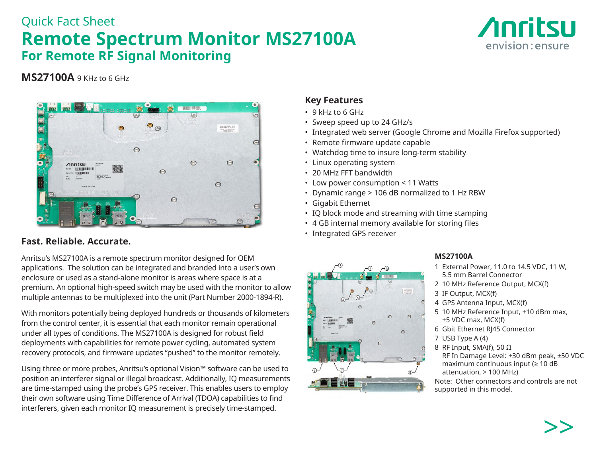# Quick Fact Sheet **Remote Spectrum Monitor MS27100A For Remote RF Signal Monitoring**



# **MS27100A** 9 KHz to 6 GHz



# **Fast. Reliable. Accurate.**

Anritsu's MS27100A is a remote spectrum monitor designed for OEM applications. The solution can be integrated and branded into a user's own enclosure or used as a stand-alone monitor is areas where space is at a premium. An optional high-speed switch may be used with the monitor to allow multiple antennas to be multiplexed into the unit (Part Number 2000-1894-R).

With monitors potentially being deployed hundreds or thousands of kilometers from the control center, it is essential that each monitor remain operational under all types of conditions. The MS27100A is designed for robust field deployments with capabilities for remote power cycling, automated system recovery protocols, and firmware updates "pushed" to the monitor remotely.

Using three or more probes, Anritsu's optional Vision™ software can be used to position an interferer signal or illegal broadcast. Additionally, IQ measurements are time-stamped using the probe's GPS receiver. This enables users to employ their own software using Time Difference of Arrival (TDOA) capabilities to find interferers, given each monitor IQ measurement is precisely time-stamped.

# **Key Features**

- 9 kHz to 6 GHz
- Sweep speed up to 24 GHz/s
- Integrated web server (Google Chrome and Mozilla Firefox supported)
- Remote firmware update capable
- Watchdog time to insure long-term stability
- Linux operating system
- 20 MHz FFT bandwidth
- Low power consumption < 11 Watts
- Dynamic range > 106 dB normalized to 1 Hz RBW
- Gigabit Ethernet
- IQ block mode and streaming with time stamping
- 4 GB internal memory available for storing files
- Integrated GPS receiver



### **MS27100A**

- 1 External Power, 11.0 to 14.5 VDC, 11 W, 5.5 mm Barrel Connector
- 2 10 MHz Reference Output, MCX(f)
- 3 IF Output, MCX(f)
- 4 GPS Antenna Input, MCX(f)
- 5 10 MHz Reference Input, +10 dBm max, +5 VDC max, MCX(f)
- 6 Gbit Ethernet RJ45 Connector
- 7 USB Type A (4)
- 8 RF Input, SMA(f), 50 Ω RF In Damage Level: +30 dBm peak, ±50 VDC maximum continuous input (≥ 10 dB attenuation, > 100 MHz)

Note: Other connectors and controls are not supported in this model.